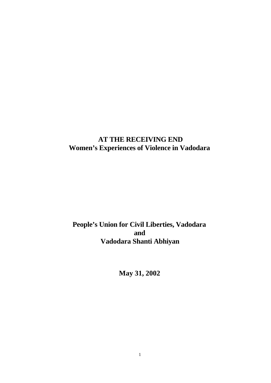# **AT THE RECEIVING END Women's Experiences of Violence in Vadodara**

# **People's Union for Civil Liberties, Vadodara and Vadodara Shanti Abhiyan**

**May 31, 2002**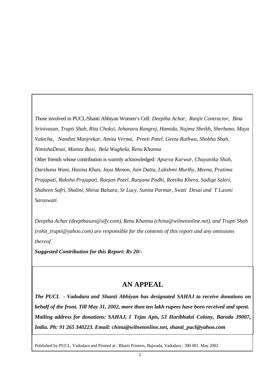Those involved in PUCL/Shanti Abhiyan Women's Cell*: Deeptha Achar, Ranjit Contractor, Bina Srinivasan, Trupti Shah, Rita Choksi, Jehanara Rangrej, Hamida, Najma Sheikh, Sherbano, Maya Valecha, Nandini Manjrekar, Amita Verma, Preeti Patel, Geeta Rathwa, Shobha Shah, NimishaDesai, Mamta Baxi, Bela Waghela, Renu Khanna* Other friends whose contribution is warmly acknowledged*: Apurva Karwar, Chayanika Shah, Darshana Wani, Hasina Khan, Jaya Menon, Juin Datta, Lakshmi Murthy, Meena, Pratima Prajapati, Raksha Prajapati, Ranjan Patel, Ranjana Padhi, Reetika Khera, Sadiqa Saleri, Shaheen Safri, Shalini, Shiraz Balsara, Sr Lucy, Sunita Parmar, Swati Desai and T Laxmi Saraswati.*

*Deeptha Achar (deepthasan@sify.com), Renu Khanna (chinu@wilnetonline.net), and Trupti Shah (rohit\_trupti@yahoo.com) are responsible for the contents of this report and any omissions thereof.*

*Suggested Contribution for this Report: Rs 20/-*

# **AN APPEAL**

*The PUCL - Vadodara and Shanti Abhiyan has designated SAHAJ to receive donations on behalf of the front. Till May 31, 2002, more than ten lakh rupees have been received and spent. Mailing address for donations: SAHAJ, 1 Tejas Apts, 53 Haribhakti Colony, Baroda 39007, India. Ph: 91 265 340223. Email: chinu@wilnetonline.net, shanti\_pucl@yahoo.com*

Published by PUCL, Vadodara and Printed at : Bharti Printers, Bajwada, Vadodara - 390 001. May 2002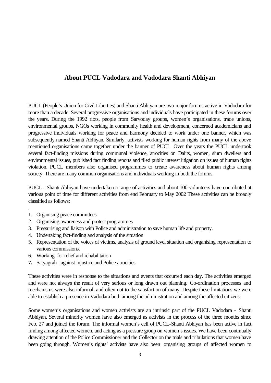## **About PUCL Vadodara and Vadodara Shanti Abhiyan**

PUCL (People's Union for Civil Liberties) and Shanti Abhiyan are two major forums active in Vadodara for more than a decade. Several progressive organisations and individuals have participated in these forums over the years. During the 1992 riots, people from Sarvoday groups, women's organisations, trade unions, environmental groups, NGOs working in community health and development, concerned academicians and progressive individuals working for peace and harmony decided to work under one banner, which was subsequently named Shanti Abhiyan. Similarly, activists working for human rights from many of the above mentioned organisations came together under the banner of PUCL. Over the years the PUCL undertook several fact-finding missions during communal violence, atrocities on Dalits, women, slum dwellers and environmental issues, published fact finding reports and filed public interest litigation on issues of human rights violation. PUCL members also organised programmes to create awareness about human rights among society. There are many common organisations and individuals working in both the forums.

PUCL - Shanti Abhiyan have undertaken a range of activities and about 100 volunteers have contributed at various point of time for different activities from end February to May 2002 These activities can be broadly classified as follows:

1. Organising peace committees

.

- 2. Organising awareness and protest programmes
- 3. Pressurising and liaison with Police and administration to save human life and property.
- 4. Undertaking fact-finding and analysis of the situation
- 5. Representation of the voices of victims, analysis of ground level situation and organising representation to various commissions.
- 6. Working for relief and rehabilitation
- **7.** Satyagrah against injustice and Police atrocities

These activities were in response to the situations and events that occurred each day. The activities emerged and were not always the result of very serious or long drawn out planning. Co-ordination processes and mechanisms were also informal, and often not to the satisfaction of many. Despite these limitations we were able to establish a presence in Vadodara both among the administration and among the affected citizens.

Some women's organisations and women activists are an intrinsic part of the PUCL Vadodara - Shanti Abhiyan. Several minority women have also emerged as activists in the process of the three months since Feb. 27 and joined the forum. The informal women's cell of PUCL-Shanti Abhiyan has been active in fact finding among affected women, and acting as a pressure group on women's issues. We have been continually drawing attention of the Police Commissioner and the Collector on the trials and tribulations that women have been going through. Women's rights' activists have also been organising groups of affected women to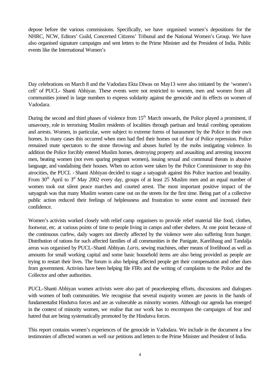depose before the various commissions. Specifically, we have organised women's depositions for the NHRC, NCW, Editors' Guild, Concerned Citizens' Tribunal and the National Women's Group. We have also organised signature campaigns and sent letters to the Prime Minister and the President of India. Public events like the International Women's

Day celebrations on March 8 and the Vadodara Ekta Diwas on May13 were also initiated by the 'women's cell' of PUCL- Shanti Abhiyan. These events were not restricted to women, men and women from all communities joined in large numbers to express solidarity against the genocide and its effects on women of Vadodara.

During the second and third phases of violence from  $15<sup>th</sup>$  March onwards, the Police played a prominent, if unsavoury, role in terrorising Muslim residents of localities through partisan and brutal combing operations and arrests. Women, in particular, were subject to extreme forms of harassment by the Police in their own homes. In many cases this occurred when men had fled their homes out of fear of Police repression. Police remained mute spectators to the stone throwing and abuses hurled by the mobs instigating violence. In addition the Police forcibly entered Muslim homes, destroying property and assaulting and arresting innocent men, beating women (not even sparing pregnant women), issuing sexual and communal threats in abusive language, and vandalising their houses. When no action were taken by the Police Commissioner to stop this atrocities, the PUCL - Shanti Abhiyan decided to stage a satyagrah against this Police inaction and brutality. From 30<sup>th</sup> April to  $3<sup>rd</sup>$  May 2002 every day, groups of at least 25 Muslim men and an equal number of women took out silent peace marches and courted arrest. The most important positive impact of the satyagrah was that many Muslim women came out on the streets for the first time. Being part of a collective public action reduced their feelings of helplessness and frustration to some extent and increased their confidence.

Women's activists worked closely with relief camp organisers to provide relief material like food, clothes, footwear, etc. at various points of time to people living in camps and other shelters. At one point because of the continuous curfew, daily wagers not directly affected by the violence were also suffering from hunger. Distribution of rations for such affected families of all communities in the Panigate, Karelibaug and Tandalja areas was organised by PUCL-Shanti Abhiyan. *Laris*, sewing machines, other means of livelihood as well as amounts for small working capital and some basic household items are also being provided as people are trying to restart their lives. The forum is also helping affected people get their compensation and other dues from government. Activists have been helping file FIRs and the writing of complaints to the Police and the Collector and other authorities.

PUCL-Shanti Abhiyan women activists were also part of peacekeeping efforts, discussions and dialogues with women of both communities. We recognise that several majority women are pawns in the hands of fundamentalist Hindutva forces and are as vulnerable as minority women. Although our agenda has emerged in the context of minority women, we realise that our work has to encompass the campaigns of fear and hatred that are being systematically promoted by the Hindutva forces.

This report contains women's experiences of the genocide in Vadodara. We include in the document a few testimonies of affected women as well our petitions and letters to the Prime Minister and President of India.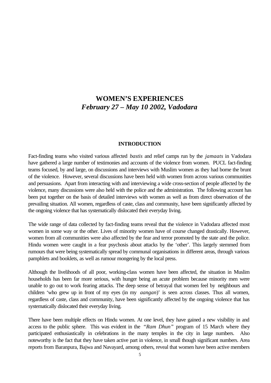## **WOMEN'S EXPERIENCES** *February 27 – May 10 2002, Vadodara*

#### **INTRODUCTION**

Fact-finding teams who visited various affected *bastis* and relief camps run by the *jamaats* in Vadodara have gathered a large number of testimonies and accounts of the violence from women. PUCL fact-finding teams focused, by and large, on discussions and interviews with Muslim women as they had borne the brunt of the violence. However, several discussions have been held with women from across various communities and persuasions. Apart from interacting with and interviewing a wide cross-section of people affected by the violence, many discussions were also held with the police and the administration. The following account has been put together on the basis of detailed interviews with women as well as from direct observation of the prevailing situation. All women, regardless of caste, class and community, have been significantly affected by the ongoing violence that has systematically dislocated their everyday living.

The wide range of data collected by fact-finding teams reveal that the violence in Vadodara affected most women in some way or the other. Lives of minority women have of course changed drastically. However, women from all communities were also affected by the fear and terror promoted by the state and the police. Hindu women were caught in a fear psychosis about attacks by the 'other'. This largely stemmed from rumours that were being systematically spread by communal organisations in different areas, through various pamphlets and booklets, as well as rumour mongering by the local press.

Although the livelihoods of all poor, working-class women have been affected, the situation in Muslim households has been far more serious, with hunger being an acute problem because minority men were unable to go out to work fearing attacks. The deep sense of betrayal that women feel by neighbours and children 'who grew up in front of my eyes (in my *aangan*)' is seen across classes. Thus all women, regardless of caste, class and community, have been significantly affected by the ongoing violence that has systematically dislocated their everyday living.

There have been multiple effects on Hindu women. At one level, they have gained a new visibility in and access to the public sphere. This was evident in the *"Ram Dhun"* program of 15 March where they participated enthusiastically in celebrations in the many temples in the city in large numbers. Also noteworthy is the fact that they have taken active part in violence, in small though significant numbers. Area reports from Baranpura, Bajwa and Navayard, among others, reveal that women have been active members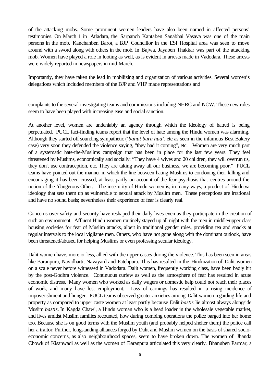of the attacking mobs. Some prominent women leaders have also been named in affected persons' testimonies. On March 1 in Atladara, the Sarpanch Kantaben Sanabhai Vasava was one of the main persons in the mob. Kanchanben Barot, a BJP Councillor in the ESI Hospital area was seen to move around with a sword along with others in the mob. In Bajwa, Jayaben Thakkar was part of the attacking mob. Women have played a role in looting as well, as is evident in arrests made in Vadodara. These arrests were widely reported in newspapers in mid-March.

Importantly, they have taken the lead in mobilizing and organization of various activities. Several women's delegations which included members of the BJP and VHP made representations and

complaints to the several investigating teams and commissions including NHRC and NCW. These new roles seem to have been played with increasing ease and social sanction.

At another level, women are undeniably an agency through which the ideology of hatred is being perpetuated. PUCL fact-finding teams report that the level of hate among the Hindu women was alarming. Although they started off sounding sympathetic ('*bahut bura hua',* etc as seen in the infamous Best Bakery case) very soon they defended the violence saying, "they had it coming", etc. Women are very much part of a systematic hate-the-Muslims campaign that has been in place for the last few years. They feel threatened by Muslims, economically and socially: "They have 4 wives and 20 children, they will overrun us, they don't use contraception, etc. They are taking away all our business, we are becoming poor." PUCL teams have pointed out the manner in which the line between hating Muslims to condoning their killing and encouraging it has been crossed, at least partly on account of the fear psychosis that centres around the notion of the 'dangerous Other.' The insecurity of Hindu women is, in many ways, a product of Hindutva ideology that sets them up as vulnerable to sexual attack by Muslim men. These perceptions are irrational and have no sound basis; nevertheless their experience of fear is clearly real.

Concerns over safety and security have reshaped their daily lives even as they participate in the creation of such an environment. Affluent Hindu women routinely stayed up all night with the men in middle/upper class housing societies for fear of Muslim attacks, albeit in traditional gender roles, providing tea and snacks at regular intervals to the local vigilante men. Others, who have not gone along with the dominant outlook, have been threatened/abused for helping Muslims or even professing secular ideology.

Dalit women have, more or less, allied with the upper castes during the violence. This has been seen in areas like Baranpura, Navidharti, Navayard and Fatehpura. This has resulted in the Hinduization of Dalit women on a scale never before witnessed in Vadodara. Dalit women, frequently working class, have been badly hit by the post-Godhra violence. Continuous curfew as well as the atmosphere of fear has resulted in acute economic distress. Many women who worked as daily wagers or domestic help could not reach their places of work, and many have lost employment. Loss of earnings has resulted in a rising incidence of impoverishment and hunger. PUCL teams observed greater anxieties among Dalit women regarding life and property as compared to upper caste women at least partly because Dalit *bastis* lie almost always alongside Muslim *bastis*. In Kagda Chawl, a Hindu woman who is a head loader in the wholesale vegetable market, and lives amidst Muslim families recounted, how during combing operations the police barged into her home too. Because she is on good terms with the Muslim youth (and probably helped shelter them) the police call her a traitor. Further, longstanding alliances forged by Dalit and Muslim women on the basis of shared socioeconomic concerns, as also neighbourhood spaces, seem to have broken down. The women of Jhanda Chowk of Kisanwadi as well as the women of Baranpura articulated this very clearly. Bhanuben Parmar, a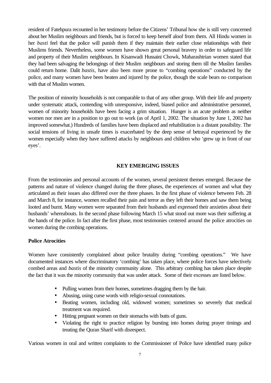resident of Fatehpura recounted in her testimony before the Citizens' Tribunal how she is still very concerned about her Muslim neighbours and friends, but is forced to keep herself aloof from them. All Hindu women in her *basti* feel that the police will punish them if they maintain their earlier close relationships with their Muslims friends. Nevertheless, some women have shown great personal bravery in order to safeguard life and property of their Muslim neighbours. In Kisanwadi Hussaini Chowk, Maharashtrian women stated that they had been salvaging the belongings of their Muslim neighbours and storing them till the Muslim families could return home. Dalit *bastis,* have also been more prone to "combing operations" conducted by the police, and many women have been beaten and injured by the police, though the scale bears no comparison with that of Muslim women.

The position of minority households is not comparable to that of any other group. With their life and property under systematic attack, contending with unresponsive, indeed, biased police and administrative personnel, women of minority households have been facing a grim situation. Hunger is an acute problem as neither women nor men are in a position to go out to work (as of April 1, 2002. The situation by June 1, 2002 has improved somewhat.) Hundreds of families have been displaced and rehabilitation is a distant possibility. The social tensions of living in unsafe times is exacerbated by the deep sense of betrayal experienced by the women especially when they have suffered attacks by neighbours and children who 'grew up in front of our eyes'.

#### **KEY EMERGING ISSUES**

From the testimonies and personal accounts of the women, several persistent themes emerged. Because the patterns and nature of violence changed during the three phases, the experiences of women and what they articulated as their issues also differed over the three phases. In the first phase of violence between Feb. 28 and March 8, for instance, women recalled their pain and terror as they left their homes and saw them being looted and burnt. Many women were separated from their husbands and expressed their anxieties about their husbands' whereabouts. In the second phase following March 15 what stood out more was their suffering at the hands of the police. In fact after the first phase, most testimonies centered around the police atrocities on women during the combing operations.

#### **Police Atrocities**

Women have consistently complained about police brutality during "combing operations." We have documented instances where discriminatory 'combing' has taken place, where police forces have selectively combed areas and *bastis* of the minority community alone. This arbitrary combing has taken place despite the fact that it was the minority community that was under attack. Some of their excesses are listed below.

- Pulling women from their homes, sometimes dragging them by the hair.
- Abusing, using curse words with religio-sexual connotations.
- Beating women, including old, widowed women; sometimes so severely that medical treatment was required.
- Hitting pregnant women on their stomachs with butts of guns.
- Violating the right to practice religion by bursting into homes during prayer timings and treating the Quran Sharif with disrespect.

Various women in oral and written complaints to the Commissioner of Police have identified many police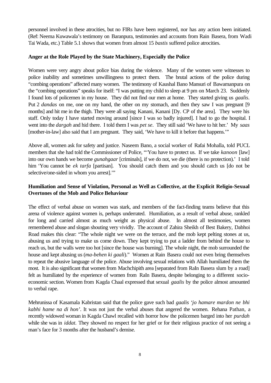personnel involved in these atrocities, but no FIRs have been registered, nor has any action been initiated. (Ref: Neema Kuwawala's testimony on Baranpura, testimonies and accounts from Rain Basera, from Wadi Tai Wada, etc.) Table 5.1 shows that women from almost 15 *bastis* suffered police atrocities.

## **Anger at the Role Played by the State Machinery, Especially the Police**

Women were very angry about police bias during the violence. Many of the women were witnesses to police inability and sometimes unwillingness to protect them. The brutal actions of the police during "combing operations" affected many women. The testimony of Kaushal Bano Mansuri of Bawamanpura on the "combing operations" speaks for itself: "I was putting my child to sleep at 9 pm on March 23. Suddenly I found lots of policemen in my house. They did not find our men at home. They started giving us *gaalis*. Put 2 *dandas* on me, one on my hand, the other on my stomach, and then they saw I was pregnant [9 months] and hit me in the thigh. They were all saying Kanani, Kanani [Dy. CP of the area]. They were his staff. Only today I have started moving around [since I was so badly injured]. I had to go the hospital. I went into the *dargah* and hid there. I told them I was *pet se*. They still said 'We have to hit her.' My *saas* [mother-in-law] also said that I am pregnant. They said, 'We have to kill it before that happens.'"

Above all, women ask for safety and justice. Naseem Bano, a social worker of Rafai Mohalla, told PUCL members that she had told the Commissioner of Police, "'You have to protect us. If we take *kanoon* [law] into our own hands we become *gunahgaar* [criminals], if we do not, we die (there is no protection).' I told him 'You cannot be *ek tarfa* [partisan]. You should catch them and you should catch us [do not be selective/one-sided in whom you arrest].'"

## **Humiliation and Sense of Violation, Personal as Well as Collective, at the Explicit Religio-Sexual Overtones of the Mob and Police Behaviour**

The effect of verbal abuse on women was stark, and members of the fact-finding teams believe that this arena of violence against women is, perhaps underrated. Humiliation, as a result of verbal abuse, rankled for long and carried almost as much weight as physical abuse. In almost all testimonies, women remembered abuse and slogan shouting very vividly. The account of Zahira Sheikh of Best Bakery, Dabhoi Road makes this clear: "The whole night we were on the terrace, and the mob kept pelting stones at us, abusing us and trying to make us come down. They kept trying to put a ladder from behind the house to reach us, but the walls were too hot [since the house was burning]. The whole night, the mob surrounded the house and kept abusing us (*ma-behen ki gaali*)." Women at Rain Basera could not even bring themselves to repeat the abusive language of the police. Abuse involving sexual relations with Allah humiliated them the most. It is also significant that women from Machchipith area [separated from RaIn Basera slum by a road] felt as humiliated by the experience of women from RaIn Basera, despite belonging to a different socioeconomic section. Women from Kagda Chaal expressed that sexual *gaalis* by the police almost amounted to verbal rape.

Mehrunissa of Kasamala Kabristan said that the police gave such bad *gaalis 'jo hamare mardon ne bhi kabhi hame na di hon'*. It was not just the verbal abuses that angered the women. Rehana Pathan, a recently widowed woman in Kagda Chawl recalled with horror how the policemen barged into her *purdah* while she was in *iddat*. They showed no respect for her grief or for their religious practice of not seeing a man's face for 3 months after the husband's demise.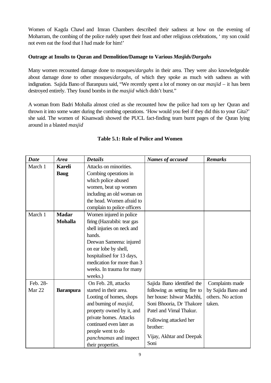Women of Kagda Chawl and Imran Chambers described their sadness at how on the evening of Moharram, the combing of the police rudely upset their feast and other religious celebrations, ' my son could not even eat the food that I had made for him!'

## **Outrage at Insults to Quran and Demolition/Damage to Various** *Masjids/Dargahs*

Many women recounted damage done to mosques/*dargahs* in their area. They were also knowledgeable about damage done to other mosques/*dargahs*, of which they spoke as much with sadness as with indignation. Sajida Bano of Baranpura said, "We recently spent a lot of money on our *masjid* – it has been destroyed entirely. They found bombs in the *masjid* which didn't burst."

A woman from Badri Mohalla almost cried as she recounted how the police had torn up her Quran and thrown it into some water during the combing operations. 'How would you feel if they did this to your Gita?' she said. The women of Kisanwadi showed the PUCL fact-finding team burnt pages of the Quran lying around in a blasted *masjid*

| <b>Date</b> | <b>Area</b>      | <b>Details</b>                 | <b>Names of accused</b>      | <b>Remarks</b>     |
|-------------|------------------|--------------------------------|------------------------------|--------------------|
| March 1     | <b>Kareli</b>    | Attacks on minorities.         |                              |                    |
|             | <b>Baug</b>      | Combing operations in          |                              |                    |
|             |                  | which police abused            |                              |                    |
|             |                  | women, beat up women           |                              |                    |
|             |                  | including an old woman on      |                              |                    |
|             |                  | the head. Women afraid to      |                              |                    |
|             |                  | complain to police officers    |                              |                    |
| March 1     | <b>Madar</b>     | Women injured in police        |                              |                    |
|             | <b>Mohalla</b>   | firing (Hazrabibi: tear gas    |                              |                    |
|             |                  | shell injuries on neck and     |                              |                    |
|             |                  | hands.                         |                              |                    |
|             |                  | Deewan Sameena: injured        |                              |                    |
|             |                  | on ear lobe by shell,          |                              |                    |
|             |                  | hospitalised for 13 days,      |                              |                    |
|             |                  | medication for more than 3     |                              |                    |
|             |                  | weeks. In trauma for many      |                              |                    |
|             |                  | weeks.)                        |                              |                    |
| Feb. 28-    |                  | On Feb. 28, attacks            | Sajida Bano identified the   | Complaints made    |
| Mar 22      | <b>Baranpura</b> | started in their area.         | following as setting fire to | by Sajida Bano and |
|             |                  | Looting of homes, shops        | her house: Ishwar Machhi,    | others. No action  |
|             |                  | and burning of <i>masjid</i> , | Soni Bhooria, Dr Thakore     | taken.             |
|             |                  | property owned by it, and      | Patel and Vimal Thakur.      |                    |
|             |                  | private homes. Attacks         | Following attacked her       |                    |
|             |                  | continued even later as        | brother:                     |                    |
|             |                  | people went to do              |                              |                    |
|             |                  | <i>panchnamas</i> and inspect  | Vijay, Akhtar and Deepak     |                    |
|             |                  | their properties.              | Soni                         |                    |

## **Table 5.1: Role of Police and Women**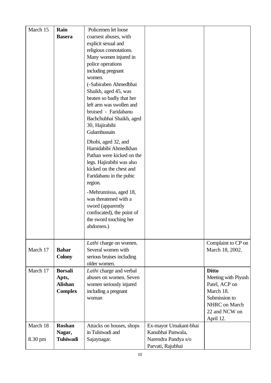| March 15 | Rain             | Policemen let loose        |                       |                     |
|----------|------------------|----------------------------|-----------------------|---------------------|
|          |                  |                            |                       |                     |
|          | <b>Basera</b>    | coarsest abuses, with      |                       |                     |
|          |                  | explicit sexual and        |                       |                     |
|          |                  | religious connotations.    |                       |                     |
|          |                  | Many women injured in      |                       |                     |
|          |                  | police operations          |                       |                     |
|          |                  | including pregnant         |                       |                     |
|          |                  | women.                     |                       |                     |
|          |                  | (-Sabiraben Ahmedbhai      |                       |                     |
|          |                  | Shaikh, aged 45, was       |                       |                     |
|          |                  | beaten so badly that her   |                       |                     |
|          |                  | left arm was swollen and   |                       |                     |
|          |                  | bruised - Faridabanu       |                       |                     |
|          |                  | Bachchubhai Shaikh, aged   |                       |                     |
|          |                  | 30, Hajirabibi             |                       |                     |
|          |                  | Gulamhussain               |                       |                     |
|          |                  | Dhobi, aged 32, and        |                       |                     |
|          |                  | Hamidabibi Ahmedkhan       |                       |                     |
|          |                  | Pathan were kicked on the  |                       |                     |
|          |                  | legs. Hajirabibi was also  |                       |                     |
|          |                  | kicked on the chest and    |                       |                     |
|          |                  | Faridabanu in the pubic    |                       |                     |
|          |                  | region.                    |                       |                     |
|          |                  | -Mehrunnissa, aged 18,     |                       |                     |
|          |                  | was threatened with a      |                       |                     |
|          |                  | sword (apparently          |                       |                     |
|          |                  | confiscated), the point of |                       |                     |
|          |                  | the sword touching her     |                       |                     |
|          |                  | abdomen.)                  |                       |                     |
|          |                  |                            |                       |                     |
|          |                  | Lathi charge on women.     |                       | Complaint to CP on  |
| March 17 | <b>Bahar</b>     | Several women with         |                       | March 18, 2002.     |
|          | <b>Colony</b>    | serious bruises including  |                       |                     |
|          |                  | older women.               |                       |                     |
| March 17 | <b>Borsali</b>   | Lathi charge and verbal    |                       | <b>Ditto</b>        |
|          | Apts,            | abuses on women. Seven     |                       | Meeting with Piyush |
|          | <b>Alishan</b>   | women seriously injured    |                       | Patel, ACP on       |
|          | <b>Complex</b>   | including a pregnant       |                       | March 18.           |
|          |                  | woman                      |                       | Submission to       |
|          |                  |                            |                       | NHRC on March       |
|          |                  |                            |                       | 22 and NCW on       |
|          |                  |                            |                       | April 12.           |
| March 18 | Roshan           | Attacks on houses, shops   | Ex-mayor Umakant-bhai |                     |
|          | Nagar,           | in Tulsiwadi and           | Kanubhai Panwala,     |                     |
| 8.30 pm  | <b>Tulsiwadi</b> | Sajaynagar.                | Narendra Pandya s/o   |                     |
|          |                  |                            | Parvati, Rajubhai     |                     |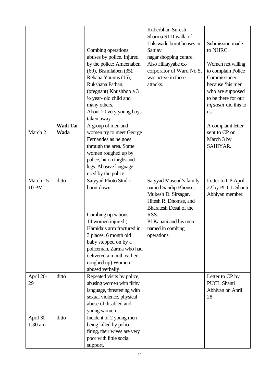|                     |                         | Combing operations<br>abuses by police. Injured<br>by the police: Ameenaben<br>$(60)$ , Bismilalben $(35)$ ,<br>Rehana Younus (15),<br>Rukshana Pathan,<br>(pregnant) Khushboo a 3<br>1/2 year- old child and<br>many others.<br>About 20 very young boys<br>taken away | Kuberbhai, Suresh<br>Sharma STD walla of<br>Tulsiwadi, burnt houses in<br>Sanjay<br>nagar shopping centre.<br>Also Hillayyabe ex-<br>corporator of Ward No 5,<br>was active in these<br>attacks. | Submission made<br>to NHRC.<br>Women not willing<br>to complain Police<br>Commissioner<br>because 'his men<br>who are supposed<br>to be there for our<br>hifaasat did this to<br>us.' |
|---------------------|-------------------------|-------------------------------------------------------------------------------------------------------------------------------------------------------------------------------------------------------------------------------------------------------------------------|--------------------------------------------------------------------------------------------------------------------------------------------------------------------------------------------------|---------------------------------------------------------------------------------------------------------------------------------------------------------------------------------------|
| March 2             | Wadi Tai<br><b>Wada</b> | A group of men and<br>women try to meet George<br>Fernandes as he goes<br>through the area. Some<br>women roughed up by<br>police, hit on thighs and<br>legs. Abusive language<br>used by the police                                                                    |                                                                                                                                                                                                  | A complaint letter<br>sent to CP on<br>March 3 by<br>SAHIYAR.                                                                                                                         |
| March 15<br>10 PM   | ditto                   | Saiyyad Photo Studio<br>burnt down.<br>Combing operations<br>14 women injured (<br>Hamida's arm fractured in<br>3 places, 6 month old<br>baby stepped on by a<br>policeman, Zarina who had<br>delivered a month earlier<br>roughed up) Women<br>abused verbally         | Saiyyad Masood's family<br>named Sandip Bhonse,<br>Mukesh D. Sirsagar,<br>Hitesh R. Dhomse, and<br>Bharatesh Desai of the<br>RSS.<br>PI Kanani and his men<br>named in combing<br>operations     | Letter to CP April<br>22 by PUCL Shanti<br>Abhiyan member.                                                                                                                            |
| April 26-<br>29     | ditto                   | Repeated visits by police,<br>abusing women with filthy<br>language, threatening with<br>sexual violence, physical<br>abuse of disabled and<br>young women                                                                                                              |                                                                                                                                                                                                  | Letter to CP by<br><b>PUCL Shanti</b><br>Abhiyan on April<br>28.                                                                                                                      |
| April 30<br>1.30 am | ditto                   | Incident of 2 young men<br>being killed by police<br>firing, their wives are very<br>poor with little social<br>support.                                                                                                                                                |                                                                                                                                                                                                  |                                                                                                                                                                                       |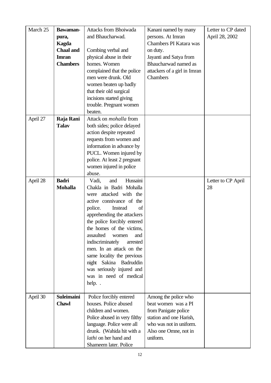| March 25 | Bawaman-                         | <b>Attacks from Bhoiwada</b>  | Kanani named by many         | Letter to CP dated |
|----------|----------------------------------|-------------------------------|------------------------------|--------------------|
|          |                                  | and Bhaucharwad.              | persons. At Imran            | April 28, 2002     |
|          | pura,                            |                               | Chambers PI Katara was       |                    |
|          | <b>Kagda</b><br><b>Chaal</b> and |                               |                              |                    |
|          |                                  | Combing verbal and            | on duty.                     |                    |
|          | <b>Imran</b>                     | physical abuse in their       | Jayanti and Satya from       |                    |
|          | <b>Chambers</b>                  | homes. Women                  | Bhaucharwad named as         |                    |
|          |                                  | complained that the police    | attackers of a girl in Imran |                    |
|          |                                  | men were drunk. Old           | Chambers                     |                    |
|          |                                  | women beaten up badly         |                              |                    |
|          |                                  | that their old surgical       |                              |                    |
|          |                                  | incisions started giving      |                              |                    |
|          |                                  | trouble. Pregnant women       |                              |                    |
|          |                                  | beaten.                       |                              |                    |
| April 27 | Raja Rani                        | Attack on <i>mohalla</i> from |                              |                    |
|          | <b>Talav</b>                     | both sides; police delayed    |                              |                    |
|          |                                  | action despite repeated       |                              |                    |
|          |                                  | requests from women and       |                              |                    |
|          |                                  | information in advance by     |                              |                    |
|          |                                  | PUCL. Women injured by        |                              |                    |
|          |                                  | police. At least 2 pregnant   |                              |                    |
|          |                                  | women injured in police       |                              |                    |
|          |                                  | abuse.                        |                              |                    |
| April 28 | <b>Badri</b>                     | Hussaini<br>and<br>Vadi,      |                              | Letter to CP April |
|          | <b>Mohalla</b>                   | Chakla in Badri Mohalla       |                              | 28                 |
|          |                                  | were attacked with the        |                              |                    |
|          |                                  | active connivance of the      |                              |                    |
|          |                                  | Instead<br>police.<br>of      |                              |                    |
|          |                                  | apprehending the attackers    |                              |                    |
|          |                                  | the police forcibly entered   |                              |                    |
|          |                                  | the homes of the victims,     |                              |                    |
|          |                                  | assaulted<br>women<br>and     |                              |                    |
|          |                                  | indiscriminately<br>arrested  |                              |                    |
|          |                                  | men. In an attack on the      |                              |                    |
|          |                                  | same locality the previous    |                              |                    |
|          |                                  | night Sakina Badruddin        |                              |                    |
|          |                                  | was seriously injured and     |                              |                    |
|          |                                  | was in need of medical        |                              |                    |
|          |                                  | help                          |                              |                    |
|          |                                  |                               |                              |                    |
| April 30 | <b>Suleimaini</b>                | Police forcibly entered       | Among the police who         |                    |
|          | <b>Chawl</b>                     | houses. Police abused         | beat women was a PI          |                    |
|          |                                  | children and women.           | from Panigate police         |                    |
|          |                                  | Police abused in very filthy  | station and one Harish,      |                    |
|          |                                  | language. Police were all     | who was not in uniform.      |                    |
|          |                                  | drunk. (Wahida hit with a     | Also one Omne, not in        |                    |
|          |                                  | lathi on her hand and         | uniform.                     |                    |
|          |                                  | Shameem later. Police         |                              |                    |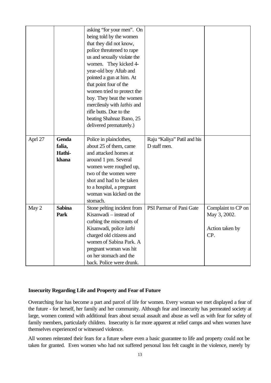|         |               | asking "for your men". On   |                             |                    |
|---------|---------------|-----------------------------|-----------------------------|--------------------|
|         |               | being told by the women     |                             |                    |
|         |               | that they did not know,     |                             |                    |
|         |               | police threatened to rape   |                             |                    |
|         |               | us and sexually violate the |                             |                    |
|         |               | women. They kicked 4-       |                             |                    |
|         |               | year-old boy Aftab and      |                             |                    |
|         |               | pointed a gun at him. At    |                             |                    |
|         |               | that point four of the      |                             |                    |
|         |               | women tried to protect the  |                             |                    |
|         |               | boy. They beat the women    |                             |                    |
|         |               | mercilessly with lathis and |                             |                    |
|         |               | rifle butts. Due to the     |                             |                    |
|         |               | beating Shahnaz Bano, 25    |                             |                    |
|         |               | delivered prematurely.)     |                             |                    |
|         |               |                             |                             |                    |
| Aprl 27 | Genda         | Police in plainclothes,     | Raju "Kaliya" Patil and his |                    |
|         | falia,        | about 25 of them, came      | D staff men.                |                    |
|         | Hathi-        | and attacked homes at       |                             |                    |
|         | khana         | around 1 pm. Several        |                             |                    |
|         |               | women were roughed up,      |                             |                    |
|         |               | two of the women were       |                             |                    |
|         |               | shot and had to be taken    |                             |                    |
|         |               | to a hospital, a pregnant   |                             |                    |
|         |               | woman was kicked on the     |                             |                    |
|         |               | stomach.                    |                             |                    |
| May 2   | <b>Sabina</b> | Stone pelting incident from | PSI Parmar of Pani Gate     | Complaint to CP on |
|         | Park          | Kisanwadi – instead of      |                             | May 3, 2002.       |
|         |               | curbing the miscreants of   |                             |                    |
|         |               | Kisanwadi, police lathi     |                             | Action taken by    |
|         |               | charged old citizens and    |                             | CP.                |
|         |               | women of Sabina Park. A     |                             |                    |
|         |               | pregnant woman was hit      |                             |                    |
|         |               | on her stomach and the      |                             |                    |
|         |               | back. Police were drunk.    |                             |                    |

#### **Insecurity Regarding Life and Property and Fear of Future**

Overarching fear has become a part and parcel of life for women. Every woman we met displayed a fear of the future - for herself, her family and her community. Although fear and insecurity has permeated society at large, women contend with additional fears about sexual assault and abuse as well as with fear for safety of family members, particularly children. Insecurity is far more apparent at relief camps and when women have themselves experienced or witnessed violence.

All women reiterated their fears for a future where even a basic guarantee to life and property could not be taken for granted. Even women who had not suffered personal loss felt caught in the violence, merely by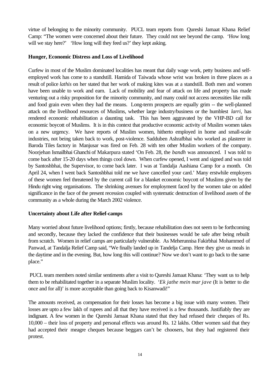virtue of belonging to the minority community. PUCL team reports from Qureshi Jamaat Khana Relief Camp: "The women were concerned about their future. They could not see beyond the camp. 'How long will we stay here?' 'How long will they feed us?' they kept asking.

#### **Hunger, Economic Distress and Loss of Livelihood**

Curfew in most of the Muslim dominated localities has meant that daily wage work, petty business and selfemployed work has come to a standstill. Hamida of Taiwada whose wrist was broken in three places as a result of police *lathis* on her stated that her work of making kites was at a standstill. Both men and women have been unable to work and earn. Lack of mobility and fear of attack on life and property has made venturing out a risky proposition for the minority community, and many could not access necessities like milk and food grain even when they had the means. Long-term prospects are equally grim -- the well-planned attack on the livelihood resources of Muslims, whether large industry/business or the humblest *larri*, has rendered economic rehabilitation a daunting task. This has been aggravated by the VHP-BD call for economic boycott of Muslims. It is in this context that productive economic activity of Muslim women takes on a new urgency. We have reports of Muslim women, hitherto employed in home and small-scale industries, not being taken back to work, post-violence. Sadduben Ashrafbhai who worked as plasterer in Baroda Tiles factory in Manjusar was fired on Feb. 28 with ten other Muslim workers of the company. Noorjehan Ismailbhai Ghanchi of Makarpura stated 'On Feb. 28, the *bandh* was announced. I was told to come back after 15-20 days when things cool down. When curfew opened, I went and signed and was told by Santoshbhai, the Supervisor, to come back later. I was at Tandalja Aashiana Camp for a month. On April 24, when I went back Santoshbhai told me we have cancelled your card.' Many erstwhile employers of these women feel threatened by the current call for a blanket economic boycott of Muslims given by the Hindu right wing organisations. The shrinking avenues for employment faced by the women take on added significance in the face of the present recession coupled with systematic destruction of livelihood assets of the community as a whole during the March 2002 violence.

#### **Uncertainty about Life after Relief-camps**

Many worried about future livelihood options; firstly, because rehabilitation does not seem to be forthcoming and secondly, because they lacked the confidence that their businesses would be safe after being rebuilt from scratch. Women in relief camps are particularly vulnerable. As Meherunnisa Fakirbhai Mohammed of Panwad, at Tandalja Relief Camp said, "We finally landed up in Tandelja Camp. Here they give us meals in the daytime and in the evening. But, how long this will continue? Now we don't want to go back to the same place."

 PUCL team members noted similar sentiments after a visit to Qureshi Jamaat Khana: 'They want us to help them to be rehabilitated together in a separate Muslim locality. '*Ek jathe mein mar jave* (It is better to die once and for all)' is more acceptable than going back to Kisanwadi!"

The amounts received, as compensation for their losses has become a big issue with many women. Their losses are upto a few lakh of rupees and all that they have received is a few thousands. Justifiably they are indignant. A few women in the Qureshi Jamaat Khana stated that they had refused their cheques of Rs. 10,000 – their loss of property and personal effects was around Rs. 12 lakhs. Other women said that they had accepted their meagre cheques because beggars can't be choosers, but they had registered their protest.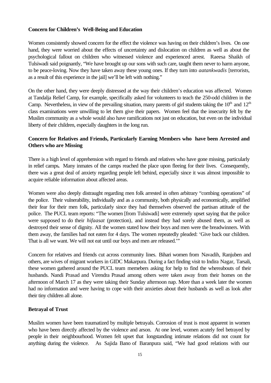#### **Concern for Children's Well-Being and Education**

Women consistently showed concern for the effect the violence was having on their children's lives. On one hand, they were worried about the effects of uncertainty and dislocation on children as well as about the psychological fallout on children who witnessed violence and experienced arrest. Raeesa Shaikh of Tulsiwadi said poignantly, "We have brought up our sons with such care, taught them never to harm anyone, to be peace-loving. Now they have taken away these young ones. If they turn into *aatankwadis* [terrorists, as a result of this experience in the jail] we'll be left with nothing."

On the other hand, they were deeply distressed at the way their children's education was affected. Women at Tandalja Relief Camp, for example, specifically asked for volunteers to teach the 250-odd children in the Camp. Nevertheless, in view of the prevailing situation, many parents of girl students taking the  $10<sup>th</sup>$  and  $12<sup>th</sup>$ class examinations were unwilling to let them give their papers. Women feel that the insecurity felt by the Muslim community as a whole would also have ramifications not just on education, but even on the individual liberty of their children, especially daughters in the long run.

## **Concern for Relatives and Friends, Particularly Earning Members who have been Arrested and Others who are Missing**

There is a high level of apprehension with regard to friends and relatives who have gone missing, particularly in relief camps. Many inmates of the camps reached the place upon fleeing for their lives. Consequently, there was a great deal of anxiety regarding people left behind, especially since it was almost impossible to acquire reliable information about affected areas.

Women were also deeply distraught regarding men folk arrested in often arbitrary "combing operations" of the police. Their vulnerability, individually and as a community, both physically and economically, amplified their fear for their men folk, particularly since they had themselves observed the partisan attitude of the police. The PUCL team reports: "The women [from Tulsiwadi] were extremely upset saying that the police were supposed to do their *hifaasat* (protection)*,* and instead they had sorely abused them, as well as destroyed their sense of dignity. All the women stated how their boys and men were the breadwinners. With them away, the families had not eaten for 4 days. The women repeatedly pleaded: 'Give back our children. That is all we want. We will not eat until our boys and men are released.'"

Concern for relatives and friends cut across community lines. Bihari women from Navadih, Ranjuben and others, are wives of migrant workers in GIDC Makarpura. During a fact finding visit to Indira Nagar, Tarsali, these women gathered around the PUCL team memebers asking for help to find the whereabouts of their husbands. Nandi Prasad and Virendra Prasad among others were taken away from their homes on the afternoon of March 17 as they were taking their Sunday afternoon nap. More than a week later the women had no information and were having to cope with their anxieties about their husbands as well as look after their tiny children all alone.

#### **Betrayal of Trust**

Muslim women have been traumatized by multiple betrayals. Corrosion of trust is most apparent in women who have been directly affected by the violence and arson. At one level, women acutely feel betrayed by people in their neighbourhood. Women felt upset that longstanding intimate relations did not count for anything during the violence. As Sajida Bano of Baranpura said, "We had good relations with our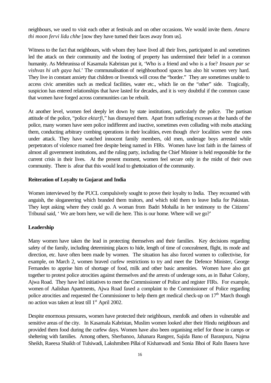neighbours, we used to visit each other at festivals and on other occasions. We would invite them. *Amara thi moon fervi lidu chhe* [now they have turned their faces away from us].

Witness to the fact that neighbours, with whom they have lived all their lives, participated in and sometimes led the attack on their community and the looting of property has undermined their belief in a common humanity. As Mehrunissa of Kasamala Kabristan put it, 'Who is a friend and who is a foe? *Insaan par se vishvas hi uth gaya hai*.' The communalisation of neighbourhood spaces has also hit women very hard. They live in constant anxiety that children or livestock will cross the "border." They are sometimes unable to access civic amenities such as medical facilities, water etc., which lie on the "other" side. Tragically, suspicion has entered relationships that have lasted for decades, and it is very doubtful if the common cause that women have forged across communities can be rebuilt.

At another level, women feel deeply let down by state institutions, particularly the police. The partisan attitude of the police, "police *ektarfi,*" has dismayed them. Apart from suffering excesses at the hands of the police, many women have seen police indifferent and inactive, sometimes even colluding with mobs attacking them, conducting arbitrary combing operations in their localities, even though *their* localities were the ones under attack. They have watched innocent family members, old men, underage boys arrested while perpetrators of violence roamed free despite being named in FIRs. Women have lost faith in the fairness of almost all government institutions, and the ruling party, including the Chief Minister is held responsible for the current crisis in their lives. At the present moment, women feel secure only in the midst of their own community. There is afear that this would lead to ghettoization of the community.

#### **Reiteration of Loyalty to Gujarat and India**

Women interviewed by the PUCL compulsively sought to prove their loyalty to India. They recounted with anguish, the sloganeering which branded them traitors, and which told them to leave India for Pakistan. They kept asking where they could go. A woman from Badri Mohalla in her testimony to the Citizens' Tribunal said, ' We are born here, we will die here. This is our home. Where will we go?'

#### **Leadership**

Many women have taken the lead in protecting themselves and their families. Key decisions regarding safety of the family, including determining places to hide, length of time of concealment, flight, its mode and direction, etc. have often been made by women. The situation has also forced women to collectivise, for example, on March 2, women braved curfew restrictions to try and meet the Defence Minister, George Fernandes to apprise him of shortage of food, milk and other basic amenities. Women have also got together to protest police atrocities against themselves and the arrests of underage sons, as in Bahar Colony, Ajwa Road. They have led initiatives to meet the Commissioner of Police and register FIRs. For example, women of Aalishan Apartments, Ajwa Road faxed a complaint to the Commissioner of Police regarding police atrocities and requested the Commissioner to help them get medical check-up on  $17<sup>th</sup>$  March though no action was taken at least till  $1<sup>st</sup>$  April 2002.

Despite enormous pressures, women have protected their neighbours, menfolk and others in vulnerable and sensitive areas of the city. In Kasamala Kabristan, Muslim women looked after their Hindu neighbours and provided them food during the curfew days. Women have also been organising relief for those in camps or sheltering with families. Among others, Sherbanoo, Jahanara Rangrez, Sajida Bano of Baranpura, Najma Sheikh, Raeesa Shaikh of Tulsiwadi, Lakshmiben Pillai of Kishanwadi and Sonia Bhoi of RaIn Basera have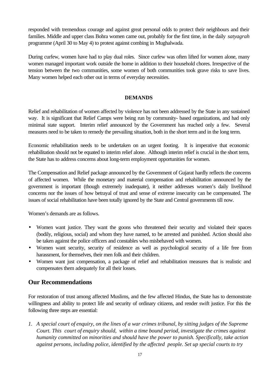responded with tremendous courage and against great personal odds to protect their neighbours and their families. Middle and upper class Bohra women came out, probably for the first time, in the daily *satyagrah* programme (April 30 to May 4) to protest against combing in Mughalwada.

During curfew, women have had to play dual roles. Since curfew was often lifted for women alone, many women managed important work outside the home in addition to their household chores. Irrespective of the tension between the two communities, some women of both communities took grave risks to save lives. Many women helped each other out in terms of everyday necessities.

#### **DEMANDS**

Relief and rehabilitation of women affected by violence has not been addressed by the State in any sustained way. It is significant that Relief Camps were being run by community- based organizations, and had only minimal state support. Interim relief announced by the Government has reached only a few. Several measures need to be taken to remedy the prevailing situation, both in the short term and in the long term.

Economic rehabilitation needs to be undertaken on an urgent footing. It is imperative that economic rehabilitation should not be equated to interim relief alone. Although interim relief is crucial in the short term, the State has to address concerns about long-term employment opportunities for women.

The Compensation and Relief package announced by the Government of Gujarat hardly reflects the concerns of affected women. While the monetary and material compensation and rehabilitation announced by the government is important (though extremely inadequate), it neither addresses women's daily livelihood concerns nor the issues of how betrayal of trust and sense of extreme insecurity can be compensated. The issues of social rehabilitation have been totally ignored by the State and Central governments till now.

Women's demands are as follows.

- Women want justice. They want the goons who threatened their security and violated their spaces (bodily, religious, social) and whom they have named, to be arrested and punished. Action should also be taken against the police officers and constables who misbehaved with women.
- Women want security, security of residence as well as psychological security of a life free from harassment, for themselves, their men folk and their children.
- Women want just compensation, a package of relief and rehabilitation measures that is realistic and compensates them adequately for all their losses.

## **Our Recommendations**

For restoration of trust among affected Muslims, and the few affected Hindus, the State has to demonstrate willingness and ability to protect life and security of ordinary citizens, and render swift justice. For this the following three steps are essential:

*1. A special court of enquiry, on the lines of a war crimes tribunal, by sitting judges of the Supreme Court. This court of enquiry should, within a time bound period, investigate the crimes against humanity committed on minorities and should have the power to punish. Specifically, take action against persons, including police, identified by the affected people. Set up special courts to try*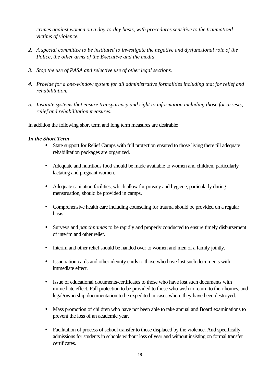*crimes against women on a day-to-day basis, with procedures sensitive to the traumatized victims of violence.*

- *2. A special committee to be instituted to investigate the negative and dysfunctional role of the Police, the other arms of the Executive and the media.*
- *3. Stop the use of PASA and selective use of other legal sections.*
- *4. Provide for a one-window system for all administrative formalities including that for relief and rehabilitation.*
- *5. Institute systems that ensure transparency and right to information including those for arrests, relief and rehabilitation measures.*

In addition the following short term and long term measures are desirable:

#### *In the Short Term*

- State support for Relief Camps with full protection ensured to those living there till adequate rehabilitation packages are organized.
- Adequate and nutritious food should be made available to women and children, particularly lactating and pregnant women.
- Adequate sanitation facilities, which allow for privacy and hygiene, particularly during menstruation, should be provided in camps.
- Comprehensive health care including counseling for trauma should be provided on a regular basis.
- Surveys and *panchnamas* to be rapidly and properly conducted to ensure timely disbursement of interim and other relief.
- Interim and other relief should be handed over to women and men of a family jointly.
- Issue ration cards and other identity cards to those who have lost such documents with immediate effect.
- Issue of educational documents/certificates to those who have lost such documents with immediate effect. Full protection to be provided to those who wish to return to their homes, and legal/ownership documentation to be expedited in cases where they have been destroyed.
- Mass promotion of children who have not been able to take annual and Board examinations to prevent the loss of an academic year.
- Facilitation of process of school transfer to those displaced by the violence. And specifically admissions for students in schools without loss of year and without insisting on formal transfer certificates.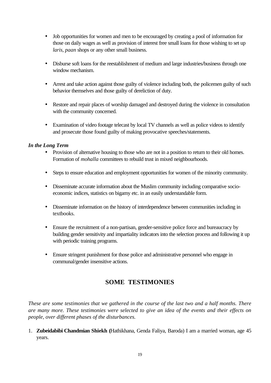- Job opportunities for women and men to be encouraged by creating a pool of information for those on daily wages as well as provision of interest free small loans for those wishing to set up *laris, paan* shops or any other small business.
- Disburse soft loans for the reestablishment of medium and large industries/business through one window mechanism.
- Arrest and take action against those guilty of violence including both, the policemen guilty of such behavior themselves and those guilty of dereliction of duty.
- Restore and repair places of worship damaged and destroyed during the violence in consultation with the community concerned.
- Examination of video footage telecast by local TV channels as well as police videos to identify and prosecute those found guilty of making provocative speeches/statements.

## *In the Long Term*

- Provision of alternative housing to those who are not in a position to return to their old homes. Formation of *mohalla* committees to rebuild trust in mixed neighbourhoods.
- Steps to ensure education and employment opportunities for women of the minority community.
- Disseminate accurate information about the Muslim community including comparative socioeconomic indices, statistics on bigamy etc. in an easily understandable form.
- Disseminate information on the history of interdependence between communities including in textbooks.
- Ensure the recruitment of a non-partisan, gender-sensitive police force and bureaucracy by building gender sensitivity and impartiality indicators into the selection process and following it up with periodic training programs.
- Ensure stringent punishment for those police and administrative personnel who engage in communal/gender insensitive actions.

## **SOME TESTIMONIES**

*These are some testimonies that we gathered in the course of the last two and a half months. There are many more. These testimonies were selected to give an idea of the events and their effects on people, over different phases of the disturbances.*

1. **Zubeidabibi Chandmian Shiekh (**Hathikhana, Genda Faliya, Baroda) I am a married woman, age 45 years.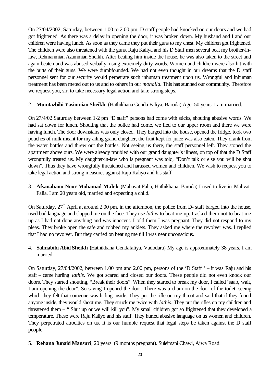On 27/04/2002, Saturday, between 1.00 to 2.00 pm, D staff people had knocked on our doors and we had got frightened. As there was a delay in opening the door, it was broken down. My husband and I and our children were having lunch. As soon as they came they put their guns to my chest. My children got frightened. The children were also threatened with the guns. Raju Kaliya and his D Staff men several beat my brother-inlaw, Rehmanmian Azammian Sheikh. After beating him inside the house, he was also taken to the street and again beaten and was abused verbally, using extremely dirty words. Women and children were also hit with the butts of their guns. We were dumbfounded. We had not even thought in our dreams that the D staff personnel sent for our security would perpetrate such inhuman treatment upon us. Wrongful and inhuman treatment has been meted out to us and to others in our *mohalla.* This has stunned our community. Therefore we request you, sir, to take necessary legal action and take strong steps.

## 2. **Mumtazbibi Yasinmian Sheikh (**Hathikhana Genda Faliya, Baroda) Age 50 years. I am married.

On 27/4/02 Saturday between 1-2 pm "D staff" persons had come with sticks, shouting abusive words. We had sat down for lunch. Shouting that the police had come, we fled to our upper room and there we were having lunch. The door downstairs was only closed. They barged into the house, opened the fridge, took two pouches of milk meant for my ailing grand daughter, the fruit kept for juice was also eaten. They drank from the water bottles and threw out the bottles. Not seeing us there, the staff personnel left. They stoned the apartment above ours. We were already troubled with our grand daughter's illness, on top of that the D Staff wrongfully treated us. My daughter-in-law who is pregnant was told, "Don't talk or else you will be shot down". Thus they have wrongfully threatened and harassed women and children. We wish to request you to take legal action and strong measures against Raju Kaliyo and his staff.

3. **Afsanabanu Noor Mohamad Malek (**Mahavat Falia, Hathikhana, Baroda) I used to live in Mahvat Falia. I am 20 years old, married and expecting a child.

On Saturday,  $27<sup>th</sup>$  April at around 2.00 pm, in the afternoon, the police from D- staff barged into the house, used bad language and slapped me on the face. They use *lathis* to beat me up. I asked them not to beat me up as I had not done anything and was innocent. I told them I was pregnant. They did not respond to my pleas. They broke open the safe and robbed my anklets. They asked me where the revolver was. I replied that I had no revolver. But they carried on beating me till I was near unconscious.

4. **Salmabibi Abid Sheikh (**Hathikhana Gendafaliya, Vadodara) My age is approximately 38 years. I am married.

On Saturday, 27/04/2002, between 1.00 pm and 2.00 pm, persons of the 'D Staff ' – it was Raju and his staff – came hurling *lathis*. We got scared and closed our doors. These people did not even knock our doors. They started shouting, "Break their doors". When they started to break my door, I called "saab, wait, I am opening the door". So saying I opened the door. There was a chain on the door of the toilet, seeing which they felt that someone was hiding inside. They put the rifle on my throat and said that if they found anyone inside, they would shoot me. They struck me twice with *lathis*. They put the rifles on my children and threatened them – " Shut up or we will kill you". My small children got so frightened that they developed a temperature. These were Raju Kaliyo and his staff. They hurled abusive language on us women and children. They perpetrated atrocities on us. It is our humble request that legal steps be taken against the D staff people.

5. **Rehana Junaid Mansuri**, 20 years. (9 months pregnant). Suleimani Chawl, Ajwa Road.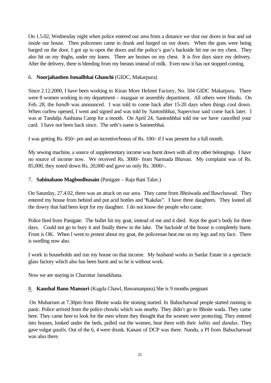On 1.5.02, Wednesday night when police entered our area from a distance we shut our doors in fear and sat inside our house. Then policemen came in drunk and barged on our doors. When the guns were being barged on the door, I got up to open the doors and the police's gun's backside hit me on my chest. They also hit on my thighs, under my knees. There are bruises on my chest. It is five days since my delivery. After the delivery, there is bleeding from my breasts instead of milk. Even now it has not stopped coming.

## 6. **Noorjahanben Ismailbhai Ghanchi** (GIDC, Makarpura)

Since 2.12.2000, I have been working in Kiran More Helmet Factory, No. 504 GIDC Makarpura. There were 8 women working in my department – mazgaar or assembly department. All others were Hindu. On Feb. 28, the *bandh* was announced. I was told to come back after 15-20 days when things cool down. When curfew opened, I went and signed and was told by Santoshbhai, Supervisor said come back later. I was at Tandalja Aashiana Camp for a month. On April 24, Santoshbhai told me we have cancelled your card. I have not been back since. The seth's name is Sameerbhai.

I was getting Rs. 850/- pm and an incentive/bonus of Rs. 100/- if I was present for a full month.

My sewing machine, a source of supplementary income was burnt down with all my other belongings. I have no source of income now. We received Rs. 3000/- from Narmada Bhavan. My complaint was of Rs. 85,000, they noted down Rs. 20,000 and gave us only Rs. 3000/-.

## 7. **Sabinabano Magboolhusain** (Panigate – Raja Rani Talav.)

On Saturday, 27.4.02, there was an attack on our area. They came from Bhoiwada and Bawchawad. They entered my house from behind and put acid bottles and "Kakdas". I have three daughters. They looted all the dowry that had been kept for my daughter. I do not know the people who came.

Police fired from Panigate. The bullet hit my goat, instead of me and it died. Kept the goat's body for three days. Could not go to bury it and finally threw in the lake. The backside of the house is completely burnt. Front is OK. When I went to protest about my goat, the policeman beat me on my legs and my face. There is swelling now also.

I work in households and run my house on that income. My husband works in Sardar Estate in a spectacle glass factory which also has been burnt and so he is without work.

Now we are staying in Charottar Jamatkhana.

#### 8. **Kaushal Bano Mansuri** (Kagda Chawl, Bawamanpura) She is 9 months pregnant

 On Muharram at 7.30pm from Bhoite wada the stoning started. In Bahucharwad people started running in panic. Police arrived from the police chowki which was nearby. They didn't go to Bhoite wada. They came here. They came here to look for the men whom they thought that the women were protecting. They entered into houses, looked under the beds, pulled out the women, beat them with their *lathis* and *dandas*. They gave vulgar *gaalis.* Out of the 6, 4 were drunk. Kanani of DCP was there. Nandu, a PI from Bahucharwad was also there.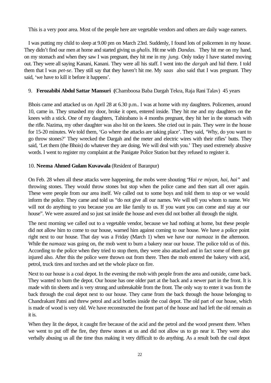This is a very poor area. Most of the people here are vegetable vendors and others are daily wage earners.

I was putting my child to sleep at 9.00 pm on March 23rd. Suddenly, I found lots of policemen in my house. They didn't find our men at home and started giving us *ghalis.* Hit me with *Dandas.* They hit me on my hand, on my stomach and when they saw I was pregnant, they hit me in my *jung.* Only today I have started moving out. They were all saying Kanani, Kanani. They were all his staff. I went into the *dargah* and hid there. I told them that I was *pet-se*. They still say that they haven't hit me. My *saas* also said that I was pregnant. They said, 'we have to kill it before it happens'.

## 9. **Ferozabibi Abdul Sattar Mansuri (**Chamboosa Baba Dargah Tekra, Raja Rani Talav) 45 years

Bhois came and attacked us on April 28 at 6.30 p.m.. I was at home with my daughters. Policemen, around 10, came in. They smashed my door, broke it open, entered inside. They hit me and my daughters on the knees with a stick. One of my daughters, Tahirabano is 4 months pregnant, they hit her in the stomach with the rifle. Nazima, my other daughter was also hit on the knees. She cried out in pain. They were in the house for 15-20 minutes. We told them, 'Go where the attacks are taking place'. They said, 'Why, do you want to go throw stones?' They wrecked the Dargah and the meter and electric wires with their rifles' butts. They said, 'Let them (the Bhois) do whatever they are doing. We will deal with you.' They used extremely abusive words. I went to register my complaint at the Panigate Police Station but they refused to register it.

## 10. **Neema Ahmed Gulam Kuvawala** (Resident of Baranpur)

On Feb. 28 when all these attacks were happening, the mobs were shouting "*Hai re miyan, hai, hai"* and throwing stones. They would throw stones but stop when the police came and then start all over again. These were people from our area itself. We called out to some boys and told them to stop or we would inform the police. They came and told us "do not give all our names. We will tell you whom to name. We will not do anything to you because you are like family to us. If you want you can come and stay at our house". We were assured and so just sat inside the house and even did not bother all through the night.

The next morning we called out to a vegetable vendor, because we had nothing at home, but these people did not allow him to come to our house, warned him against coming to our house. We have a police point right next to our house. That day was a Friday (March 1) when we have our *namaaz* in the afternoon. While the *namaaz* was going on, the mob went to burn a bakery near our house. The police told us of this. According to the police when they tried to stop them, they were also attacked and in fact some of them got injured also. After this the police were thrown out from there. Then the mob entered the bakery with acid, petrol, truck tires and torches and set the whole place on fire.

Next to our house is a coal depot. In the evening the mob with people from the area and outside, came back. They wanted to burn the depot. Our house has one older part at the back and a newer part in the front. It is made with tin sheets and is very strong and unbreakable from the front. The only way to enter it was from the back through the coal depot next to our house. They came from the back through the house belonging to Chandrakant Patni and threw petrol and acid bottles inside the coal depot. The old part of our house, which is made of wood is very old. We have reconstructed the front part of the house and had left the old remain as it is.

When they lit the depot, it caught fire because of the acid and the petrol and the wood present there. When we went to put off the fire, they threw stones at us and did not allow us to go near it. They were also verbally abusing us all the time thus making it very difficult to do anything. As a result both the coal depot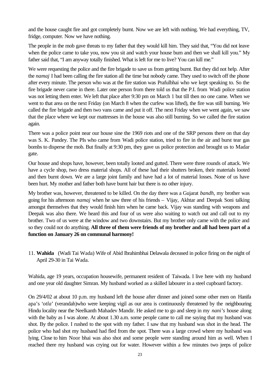and the house caught fire and got completely burnt. Now we are left with nothing. We had everything, TV, fridge, computer. Now we have nothing.

The people in the mob gave threats to my father that they would kill him. They said that, "You did not leave when the police came to take you, now you sit and watch your house burn and then we shall kill you." My father said that, "I am anyway totally finished. What is left for me to live? You can kill me."

We were requesting the police and the fire brigade to save us from getting burnt. But they did not help. After the *namaj* I had been calling the fire station all the time but nobody came. They used to switch off the phone after every minute. The person who was at the fire station was Prafulbhai who we kept speaking to. So the fire brigade never came in there. Later one person from there told us that the P.I. from Wadi police station was not letting them enter. We left that place after 9:30 pm on March 1 but till then no one came. When we went to that area on the next Friday (on March 8 when the curfew was lifted), the fire was still burning. We called the fire brigade and then two vans came and put it off. The next Friday when we went again, we saw that the place where we kept our mattresses in the house was also still burning. So we called the fire station again.

There was a police point near our house sine the 1969 riots and one of the SRP persons there on that day was S. K. Pandey. The PIs who came from Wadi police station, tried to fire in the air and burst tear gas bombs to disperse the mob. But finally at 9:30 pm, they gave us police protection and brought us to Madar gate.

Our house and shops have, however, been totally looted and gutted. There were three rounds of attack. We have a cycle shop, two dress material shops. All of these had their shutters broken, their materials looted and then burnt down. We are a large joint family and have had a lot of material losses. None of us have been hurt. My mother and father both have burnt hair but there is no other injury.

My brother was, however, threatened to be killed. On the day there was a Gujarat *bandh*, my brother was going for his afternoon *namaj* when he saw three of his friends – Vijay, Akhtar and Deepak Soni talking amongst themselves that they would finish him when he came back. Vijay was standing with weapons and Deepak was also there. We heard this and four of us were also waiting to watch out and call out to my brother. Two of us were at the window and two downstairs. But my brother only came with the police and so they could not do anything. **All three of them were friends of my brother and all had been part of a function on January 26 on communal harmony!**

11. **Wahida** (Wadi Tai Wada) Wife of Abid Ibrahimbhai Delawala deceased in police firing on the night of April 29-30 in Tai Wada.

Wahida, age 19 years, occupation housewife, permanent resident of Taiwada. I live here with my husband and one year old daughter Simran. My husband worked as a skilled labourer in a steel cupboard factory.

On 29/4/02 at about 10 p.m. my husband left the house after dinner and joined some other men on Hanifa apa's '*otla*' (verandah)who were keeping vigil as our area is continuously threatened by the neighbouring Hindu locality near the Neelkanth Mahadev Mandir. He asked me to go and sleep in my *nani's* house along with the baby as I was alone. At about 1.30 a.m. some people came to call me saying that my husband was shot. By the police. I rushed to the spot with my father. I saw that my husband was shot in the head. The police who had shot my husband had fled from the spot. There was a large crowd where my husband was lying. Close to him Noor bhai was also shot and some people were standing around him as well. When I reached there my husband was crying out for water. However within a few minutes two jeeps of police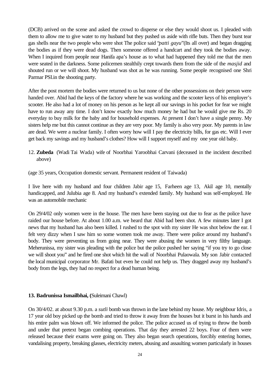(DCB) arrived on the scene and asked the crowd to disperse or else they would shoot us. I pleaded with them to allow me to give water to my husband but they pushed us aside with rifle buts. Then they burst tear gas shells near the two people who were shot The police said "*patti gayu*"(Its all over) and began dragging the bodies as if they were dead dogs. Then someone offered a handcart and they took the bodies away. When I inquired from people near Hanifa apa's house as to what had happened they told me that the men were seated in the darkness. Some policemen stealthily crept towards them from the side of the *masjid* and shouted run or we will shoot. My husband was shot as he was running. Some people recognised one Shri Parmar PSI.in the shooting party.

After the post mortem the bodies were returned to us but none of the other possessions on their person were handed over. Abid had the keys of the factory where he was working and the scooter keys of his employer's scooter. He also had a lot of money on his person as he kept all our savings in his pocket for fear we might have to run away any time. I don't know exactly how much money he had but he would give me Rs. 20 everyday to buy milk for the baby and for household expenses. At present I don't have a single penny. My sisters help me but this cannot continue as they are very poor. My family is also very poor. My parents in law are dead. We were a nuclear family. I often worry how will I pay the electricity bills, for gas etc. Will I ever get back my savings and my husband's clothes? How will I support myself and my one year old baby.

12. **Zubeda** (Wadi Tai Wada) wife of Noorbhai Yaroobhai Carvani (deceased in the incident described above)

(age 35 years, Occupation domestic servant. Permanent resident of Taiwada)

I live here with my husband and four children Jabir age 15, Farheen age 13, Akil age 10, mentally handicapped, and Julubia age 8. And my husband's extended family. My husband was self-employed. He was an automobile mechanic

On 29/4/02 only women were in the house. The men have been staying out due to fear as the police have raided our house before. At about 1.00 a.m. we heard that Abid had been shot. A few minutes later I got news that my husband has also been killed. I rushed to the spot with my sister He was shot below the ear. I felt very dizzy when I saw him so some women took me away. There were police around my husband's body. They were preventing us from going near. They were abusing the women in very filthy language. Meherunissa, my sister was pleading with the police but the police pushed her saying "if you try to go close we will shoot you" and he fired one shot which hit the wall of Noorbhai Pulaowala. My son Jabir contacted the local municipal corporator Mr. Bafati but even he could not help us. They dragged away my husband's body from the legs, they had no respect for a dead human being.

#### **13. Badrunissa Ismailbhai, (**Suleimani Chawl)

On 30/4/02. at about 9.30 p.m. a *sutli* bomb was thrown in the lane behind my house. My neighbour Idris, a 17 year old boy picked up the bomb and tried to throw it away from the houses but it burst in his hands and his entire palm was blown off. We informed the police. The police accused us of trying to throw the bomb and under that pretext began combing operations. That day they arrested 22 boys. Four of them were released because their exams were going on. They also began search operations, forcibly entering homes, vandalising property, breaking glasses, electricity meters, abusing and assaulting women particularly in houses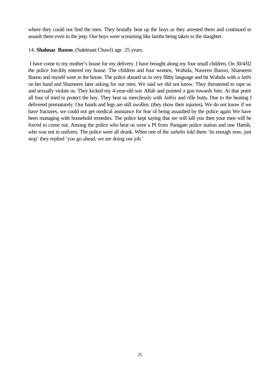where they could not find the men. They brutally beat up the boys as they arrested them and continued to assault them even in the jeep. Our boys were screaming like lambs being taken to the slaughter.

14. **Shahnaz Banoo**, (Suleimani Chawl) age 25 years.

 I have come to my mother's house for my delivery. I have brought along my four small children. On 30/4/02 the police forcibly entered my house. The children and four women, Wahida, Nasreen Banoo, Shameem Banoo and myself were in the house. The police abused us in very filthy language and hit Wahida with a *lathi* on her hand and Shameem later asking for our men. We said we did not know. They threatened to rape us and sexually violate us. They kicked my 4-year-old son Aftab and pointed a gun towards him. At that point all four of tried to protect the boy. They beat us mercilessly with *lathis* and rifle butts. Due to the beating I delivered prematurely. Our hands and legs are still swollen. (they show their injuries). We do not know if we have fractures, we could not get medical assistance for fear of being assaulted by the police again We have been managing with household remedies. The police kept saying that we will kill you then your men will be forced to come out. Among the police who beat us were a PI from Panigate police station and one Harish, who was not in uniform. The police were all drunk. When one of the *sahebs* told them 'its enough now, just stop' they replied 'you go ahead, we are doing our job.'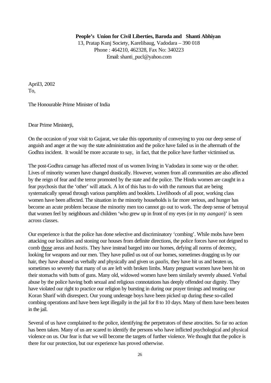#### **People's Union for Civil Liberties, Baroda and Shanti Abhiyan**

13, Pratap Kunj Society, Karelibaug, Vadodara – 390 018 Phone : 464210, 462328, Fax No: 340223 Email: shanti\_pucl@yahoo.com

April3, 2002 To,

The Honourable Prime Minister of India

Dear Prime Ministerji,

On the occasion of your visit to Gujarat, we take this opportunity of conveying to you our deep sense of anguish and anger at the way the state administration and the police have failed us in the aftermath of the Godhra incident. It would be more accurate to say, in fact, that the police have further victimised us.

The post-Godhra carnage has affected most of us women living in Vadodara in some way or the other. Lives of minority women have changed drastically. However, women from all communities are also affected by the reign of fear and the terror promoted by the state and the police. The Hindu women are caught in a fear psychosis that the 'other' will attack. A lot of this has to do with the rumours that are being systematically spread through various pamphlets and booklets. Livelihoods of all poor, working class women have been affected. The situation in the minority households is far more serious, and hunger has become an acute problem because the minority men too cannot go out to work. The deep sense of betrayal that women feel by neighbours and children 'who grew up in front of my eyes (or in my *aangan*)' is seen across classes.

Our experience is that the police has done selective and discriminatory 'combing'. While mobs have been attacking our localities and stoning our houses from definite directions, the police forces have not deigned to comb those areas and *bastis*. They have instead barged into our homes, defying all norms of decency, looking for weapons and our men. They have pulled us out of our homes, sometimes dragging us by our hair, they have abused us verbally and physically and given us *gaalis,* they have hit us and beaten us, sometimes so severely that many of us are left with broken limbs. Many pregnant women have been hit on their stomachs with butts of guns. Many old, widowed women have been similarly severely abused. Verbal abuse by the police having both sexual and religious connotations has deeply offended our dignity. They have violated our right to practice our religion by bursting in during our prayer timings and treating our Koran Sharif with disrespect. Our young underage boys have been picked up during these so-called combing operations and have been kept illegally in the jail for 8 to 10 days. Many of them have been beaten in the jail.

Several of us have complained to the police, identifying the perpetrators of these atrocities. So far no action has been taken. Many of us are scared to identify the persons who have inflicted psychological and physical violence on us. Our fear is that we will become the targets of further violence. We thought that the police is there for our protection, but our experience has proved otherwise.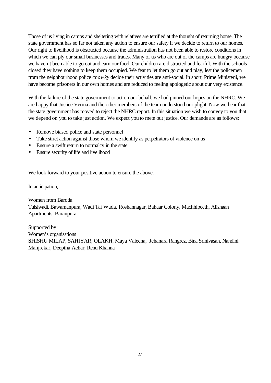Those of us living in camps and sheltering with relatives are terrified at the thought of returning home. The state government has so far not taken any action to ensure our safety if we decide to return to our homes. Our right to livelihood is obstructed because the administration has not been able to restore conditions in which we can ply our small businesses and trades. Many of us who are out of the camps are hungry because we haven't been able to go out and earn our food. Our children are distracted and fearful. With the schools closed they have nothing to keep them occupied. We fear to let them go out and play, lest the policemen from the neighbourhood police *chowky* decide their activities are anti-social. In short, Prime Ministerji, we have become prisoners in our own homes and are reduced to feeling apologetic about our very existence.

With the failure of the state government to act on our behalf, we had pinned our hopes on the NHRC. We are happy that Justice Verma and the other members of the team understood our plight. Now we hear that the state government has moved to reject the NHRC report. In this situation we wish to convey to you that we depend on you to take just action. We expect you to mete out justice. Our demands are as follows:

- Remove biased police and state personnel
- Take strict action against those whom we identify as perpetrators of violence on us
- Ensure a swift return to normalcy in the state.
- Ensure security of life and livelihood

We look forward to your positive action to ensure the above.

In anticipation,

Women from Baroda Tulsiwadi, Bawamanpura, Wadi Tai Wada, Roshannagar, Bahaar Colony, Machhipeeth, Alishaan Apartments, Baranpura

Supported by: Women's organisations **S**HISHU MILAP, SAHIYAR, OLAKH, Maya Valecha, Jehanara Rangrez, Bina Srinivasan, Nandini Manjrekar, Deeptha Achar, Renu Khanna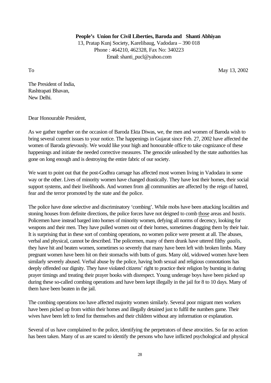**People's Union for Civil Liberties, Baroda and Shanti Abhiyan**

13, Pratap Kunj Society, Karelibaug, Vadodara – 390 018 Phone : 464210, 462328, Fax No: 340223 Email: shanti\_pucl@yahoo.com

To May 13, 2002

The President of India, Rashtrapati Bhavan, New Delhi.

Dear Honourable President,

As we gather together on the occasion of Baroda Ekta Diwas, we, the men and women of Baroda wish to bring several current issues to your notice. The happenings in Gujarat since Feb. 27, 2002 have affected the women of Baroda grievously. We would like your high and honourable office to take cognizance of these happenings and initiate the needed corrective measures. The genocide unleashed by the state authorities has gone on long enough and is destroying the entire fabric of our society.

We want to point out that the post-Godhra carnage has affected most women living in Vadodara in some way or the other. Lives of minority women have changed drastically. They have lost their homes, their social support systems, and their livelihoods. And women from all communities are affected by the reign of hatred, fear and the terror promoted by the state and the police.

The police have done selective and discriminatory 'combing'. While mobs have been attacking localities and stoning houses from definite directions, the police forces have not deigned to comb those areas and *bastis*. Policemen have instead barged into homes of minority women, defying all norms of decency, looking for weapons and their men. They have pulled women out of their homes, sometimes dragging them by their hair. It is surprising that in these sort of combing operations, no women police were present at all. The abuses, verbal and physical, cannot be described. The policemen, many of them drunk have uttered filthy *gaalis,* they have hit and beaten women, sometimes so severely that many have been left with broken limbs. Many pregnant women have been hit on their stomachs with butts of guns. Many old, widowed women have been similarly severely abused. Verbal abuse by the police, having both sexual and religious connotations has deeply offended our dignity. They have violated citizens' right to practice their religion by bursting in during prayer timings and treating their prayer books with disrespect. Young underage boys have been picked up during these so-called combing operations and have been kept illegally in the jail for 8 to 10 days. Many of them have been beaten in the jail.

The combing operations too have affected majority women similarly. Several poor migrant men workers have been picked up from within their homes and illegally detained just to fulfil the numbers game. Their wives have been left to fend for themselves and their children without any information or explanation.

Several of us have complained to the police, identifying the perpetrators of these atrocities. So far no action has been taken. Many of us are scared to identify the persons who have inflicted psychological and physical